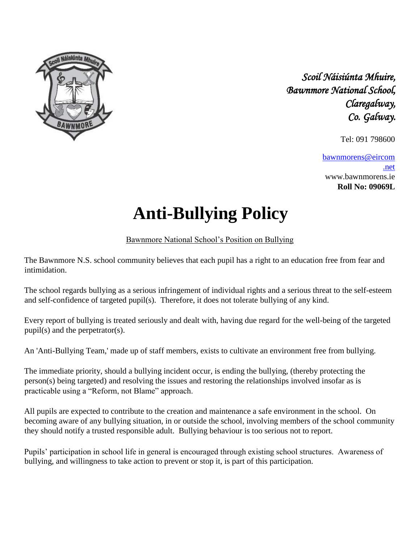

*Scoil Náisiúnta Mhuire, Bawnmore National School, Claregalway, Co. Galway.*

Tel: 091 798600

bawnmorens@eircom .net www.bawnmorens.ie **Roll No: 09069L**

## **Anti-Bullying Policy**

Bawnmore National School's Position on Bullying

The Bawnmore N.S. school community believes that each pupil has a right to an education free from fear and intimidation.

The school regards bullying as a serious infringement of individual rights and a serious threat to the self-esteem and self-confidence of targeted pupil(s). Therefore, it does not tolerate bullying of any kind.

Every report of bullying is treated seriously and dealt with, having due regard for the well-being of the targeted pupil(s) and the perpetrator(s).

An 'Anti-Bullying Team,' made up of staff members, exists to cultivate an environment free from bullying.

The immediate priority, should a bullying incident occur, is ending the bullying, (thereby protecting the person(s) being targeted) and resolving the issues and restoring the relationships involved insofar as is practicable using a "Reform, not Blame" approach.

All pupils are expected to contribute to the creation and maintenance a safe environment in the school. On becoming aware of any bullying situation, in or outside the school, involving members of the school community they should notify a trusted responsible adult. Bullying behaviour is too serious not to report.

Pupils' participation in school life in general is encouraged through existing school structures. Awareness of bullying, and willingness to take action to prevent or stop it, is part of this participation.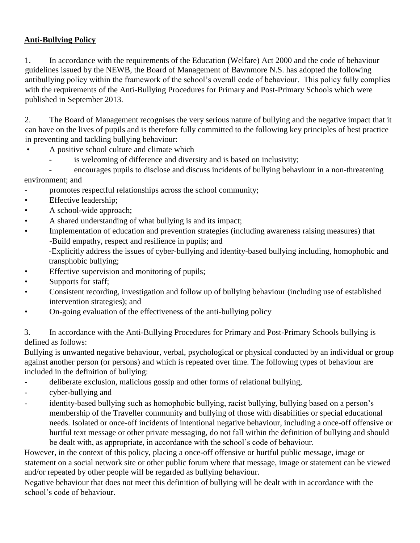## **Anti-Bullying Policy**

1. In accordance with the requirements of the Education (Welfare) Act 2000 and the code of behaviour guidelines issued by the NEWB, the Board of Management of Bawnmore N.S. has adopted the following antibullying policy within the framework of the school's overall code of behaviour. This policy fully complies with the requirements of the Anti-Bullying Procedures for Primary and Post-Primary Schools which were published in September 2013.

2. The Board of Management recognises the very serious nature of bullying and the negative impact that it can have on the lives of pupils and is therefore fully committed to the following key principles of best practice in preventing and tackling bullying behaviour:

- A positive school culture and climate which
	- is welcoming of difference and diversity and is based on inclusivity;

- encourages pupils to disclose and discuss incidents of bullying behaviour in a non-threatening environment; and

- promotes respectful relationships across the school community;
- Effective leadership;
- A school-wide approach;
- A shared understanding of what bullying is and its impact;
- Implementation of education and prevention strategies (including awareness raising measures) that -Build empathy, respect and resilience in pupils; and

-Explicitly address the issues of cyber-bullying and identity-based bullying including, homophobic and transphobic bullying;

- Effective supervision and monitoring of pupils;
- Supports for staff;
- Consistent recording, investigation and follow up of bullying behaviour (including use of established intervention strategies); and
- On-going evaluation of the effectiveness of the anti-bullying policy

3. In accordance with the Anti-Bullying Procedures for Primary and Post-Primary Schools bullying is defined as follows:

Bullying is unwanted negative behaviour, verbal, psychological or physical conducted by an individual or group against another person (or persons) and which is repeated over time. The following types of behaviour are included in the definition of bullying:

- deliberate exclusion, malicious gossip and other forms of relational bullying,
- cyber-bullying and
- identity-based bullying such as homophobic bullying, racist bullying, bullying based on a person's membership of the Traveller community and bullying of those with disabilities or special educational needs. Isolated or once-off incidents of intentional negative behaviour, including a once-off offensive or hurtful text message or other private messaging, do not fall within the definition of bullying and should be dealt with, as appropriate, in accordance with the school's code of behaviour.

However, in the context of this policy, placing a once-off offensive or hurtful public message, image or statement on a social network site or other public forum where that message, image or statement can be viewed and/or repeated by other people will be regarded as bullying behaviour.

Negative behaviour that does not meet this definition of bullying will be dealt with in accordance with the school's code of behaviour.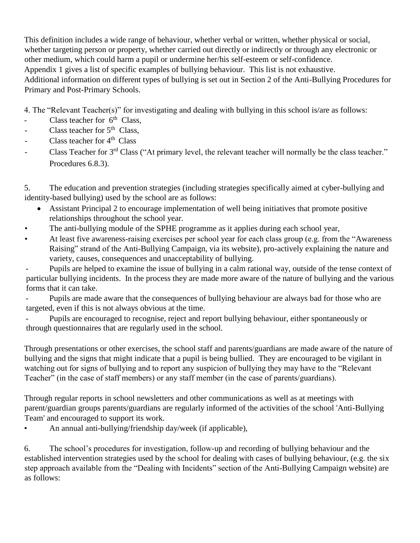This definition includes a wide range of behaviour, whether verbal or written, whether physical or social, whether targeting person or property, whether carried out directly or indirectly or through any electronic or other medium, which could harm a pupil or undermine her/his self-esteem or self-confidence. Appendix 1 gives a list of specific examples of bullying behaviour. This list is not exhaustive. Additional information on different types of bullying is set out in Section 2 of the Anti-Bullying Procedures for Primary and Post-Primary Schools.

4. The "Relevant Teacher(s)" for investigating and dealing with bullying in this school is/are as follows:

- Class teacher for  $6<sup>th</sup>$  Class,
- Class teacher for  $5<sup>th</sup>$  Class,
- Class teacher for  $4<sup>th</sup>$  Class
- Class Teacher for 3<sup>rd</sup> Class ("At primary level, the relevant teacher will normally be the class teacher." Procedures 6.8.3).

5. The education and prevention strategies (including strategies specifically aimed at cyber-bullying and identity-based bullying) used by the school are as follows:

- Assistant Principal 2 to encourage implementation of well being initiatives that promote positive relationships throughout the school year.
- The anti-bullying module of the SPHE programme as it applies during each school year,
- At least five awareness-raising exercises per school year for each class group (e.g. from the "Awareness Raising" strand of the Anti-Bullying Campaign, via its website), pro-actively explaining the nature and variety, causes, consequences and unacceptability of bullying.

Pupils are helped to examine the issue of bullying in a calm rational way, outside of the tense context of particular bullying incidents. In the process they are made more aware of the nature of bullying and the various forms that it can take.

- Pupils are made aware that the consequences of bullying behaviour are always bad for those who are targeted, even if this is not always obvious at the time.

Pupils are encouraged to recognise, reject and report bullying behaviour, either spontaneously or through questionnaires that are regularly used in the school.

Through presentations or other exercises, the school staff and parents/guardians are made aware of the nature of bullying and the signs that might indicate that a pupil is being bullied. They are encouraged to be vigilant in watching out for signs of bullying and to report any suspicion of bullying they may have to the "Relevant Teacher" (in the case of staff members) or any staff member (in the case of parents/guardians).

Through regular reports in school newsletters and other communications as well as at meetings with parent/guardian groups parents/guardians are regularly informed of the activities of the school 'Anti-Bullying Team' and encouraged to support its work.

• An annual anti-bullying/friendship day/week (if applicable),

6. The school's procedures for investigation, follow-up and recording of bullying behaviour and the established intervention strategies used by the school for dealing with cases of bullying behaviour, (e.g. the six step approach available from the "Dealing with Incidents" section of the Anti-Bullying Campaign website) are as follows: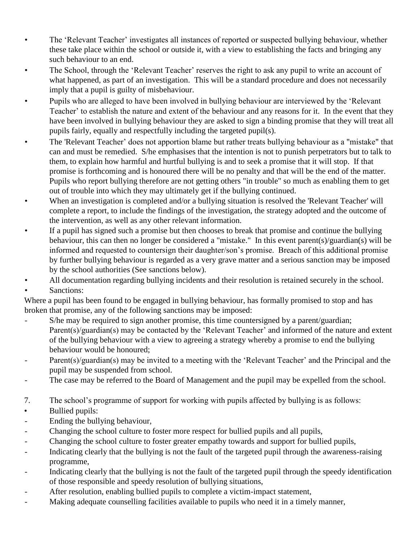- The 'Relevant Teacher' investigates all instances of reported or suspected bullying behaviour, whether these take place within the school or outside it, with a view to establishing the facts and bringing any such behaviour to an end.
- The School, through the 'Relevant Teacher' reserves the right to ask any pupil to write an account of what happened, as part of an investigation. This will be a standard procedure and does not necessarily imply that a pupil is guilty of misbehaviour.
- Pupils who are alleged to have been involved in bullying behaviour are interviewed by the 'Relevant Teacher' to establish the nature and extent of the behaviour and any reasons for it. In the event that they have been involved in bullying behaviour they are asked to sign a binding promise that they will treat all pupils fairly, equally and respectfully including the targeted pupil(s).
- The 'Relevant Teacher' does not apportion blame but rather treats bullying behaviour as a "mistake" that can and must be remedied. S/he emphasises that the intention is not to punish perpetrators but to talk to them, to explain how harmful and hurtful bullying is and to seek a promise that it will stop. If that promise is forthcoming and is honoured there will be no penalty and that will be the end of the matter. Pupils who report bullying therefore are not getting others "in trouble" so much as enabling them to get out of trouble into which they may ultimately get if the bullying continued.
- When an investigation is completed and/or a bullying situation is resolved the 'Relevant Teacher' will complete a report, to include the findings of the investigation, the strategy adopted and the outcome of the intervention, as well as any other relevant information.
- If a pupil has signed such a promise but then chooses to break that promise and continue the bullying behaviour, this can then no longer be considered a "mistake." In this event parent(s)/guardian(s) will be informed and requested to countersign their daughter/son's promise. Breach of this additional promise by further bullying behaviour is regarded as a very grave matter and a serious sanction may be imposed by the school authorities (See sanctions below).
- All documentation regarding bullying incidents and their resolution is retained securely in the school.
- Sanctions:

Where a pupil has been found to be engaged in bullying behaviour, has formally promised to stop and has broken that promise, any of the following sanctions may be imposed:

- S/he may be required to sign another promise, this time countersigned by a parent/guardian; Parent(s)/guardian(s) may be contacted by the 'Relevant Teacher' and informed of the nature and extent of the bullying behaviour with a view to agreeing a strategy whereby a promise to end the bullying behaviour would be honoured;
- Parent(s)/guardian(s) may be invited to a meeting with the 'Relevant Teacher' and the Principal and the pupil may be suspended from school.
- The case may be referred to the Board of Management and the pupil may be expelled from the school.
- 7. The school's programme of support for working with pupils affected by bullying is as follows:
- Bullied pupils:
- Ending the bullying behaviour,
- Changing the school culture to foster more respect for bullied pupils and all pupils,
- Changing the school culture to foster greater empathy towards and support for bullied pupils,
- Indicating clearly that the bullying is not the fault of the targeted pupil through the awareness-raising programme,
- Indicating clearly that the bullying is not the fault of the targeted pupil through the speedy identification of those responsible and speedy resolution of bullying situations,
- After resolution, enabling bullied pupils to complete a victim-impact statement,
- Making adequate counselling facilities available to pupils who need it in a timely manner.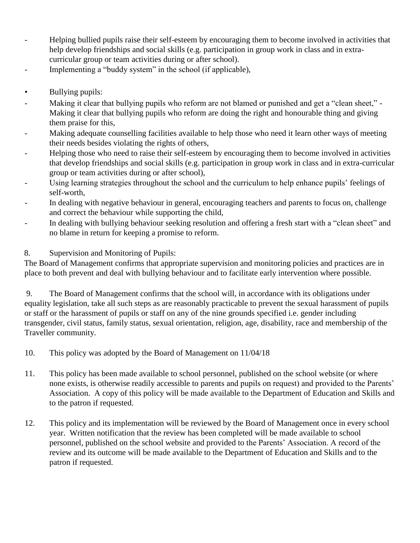- Helping bullied pupils raise their self-esteem by encouraging them to become involved in activities that help develop friendships and social skills (e.g. participation in group work in class and in extracurricular group or team activities during or after school).
- Implementing a "buddy system" in the school (if applicable),
- Bullying pupils:
- Making it clear that bullying pupils who reform are not blamed or punished and get a "clean sheet," Making it clear that bullying pupils who reform are doing the right and honourable thing and giving them praise for this,
- Making adequate counselling facilities available to help those who need it learn other ways of meeting their needs besides violating the rights of others,
- Helping those who need to raise their self-esteem by encouraging them to become involved in activities that develop friendships and social skills (e.g. participation in group work in class and in extra-curricular group or team activities during or after school),
- Using learning strategies throughout the school and the curriculum to help enhance pupils' feelings of self-worth,
- In dealing with negative behaviour in general, encouraging teachers and parents to focus on, challenge and correct the behaviour while supporting the child,
- In dealing with bullying behaviour seeking resolution and offering a fresh start with a "clean sheet" and no blame in return for keeping a promise to reform.

## 8. Supervision and Monitoring of Pupils:

The Board of Management confirms that appropriate supervision and monitoring policies and practices are in place to both prevent and deal with bullying behaviour and to facilitate early intervention where possible.

9. The Board of Management confirms that the school will, in accordance with its obligations under equality legislation, take all such steps as are reasonably practicable to prevent the sexual harassment of pupils or staff or the harassment of pupils or staff on any of the nine grounds specified i.e. gender including transgender, civil status, family status, sexual orientation, religion, age, disability, race and membership of the Traveller community.

- 10. This policy was adopted by the Board of Management on 11/04/18
- 11. This policy has been made available to school personnel, published on the school website (or where none exists, is otherwise readily accessible to parents and pupils on request) and provided to the Parents' Association. A copy of this policy will be made available to the Department of Education and Skills and to the patron if requested.
- 12. This policy and its implementation will be reviewed by the Board of Management once in every school year. Written notification that the review has been completed will be made available to school personnel, published on the school website and provided to the Parents' Association. A record of the review and its outcome will be made available to the Department of Education and Skills and to the patron if requested.